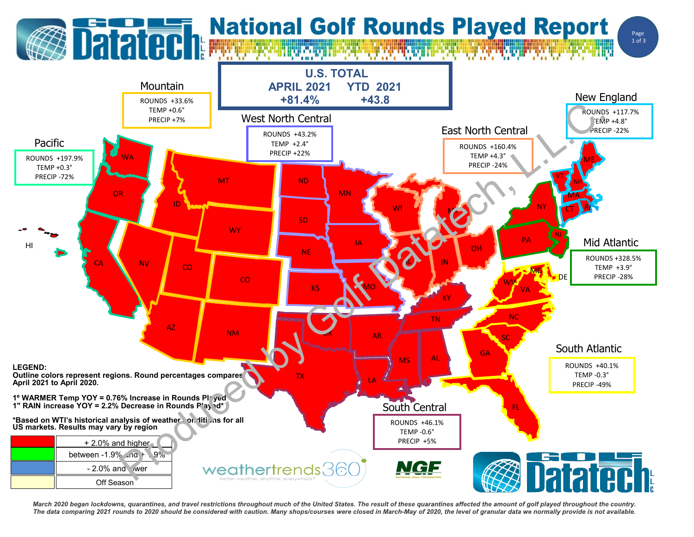## **Datated: National Golf Rounds Played Report**

Page 1 of 3



March 2020 began lockdowns, quarantines, and travel restrictions throughout much of the United States. The result of these quarantines affected the amount of golf played throughout the country. The data comparing 2021 rounds to 2020 should be considered with caution. Many shops/courses were closed in March-May of 2020, the level of granular data we normally provide is not available.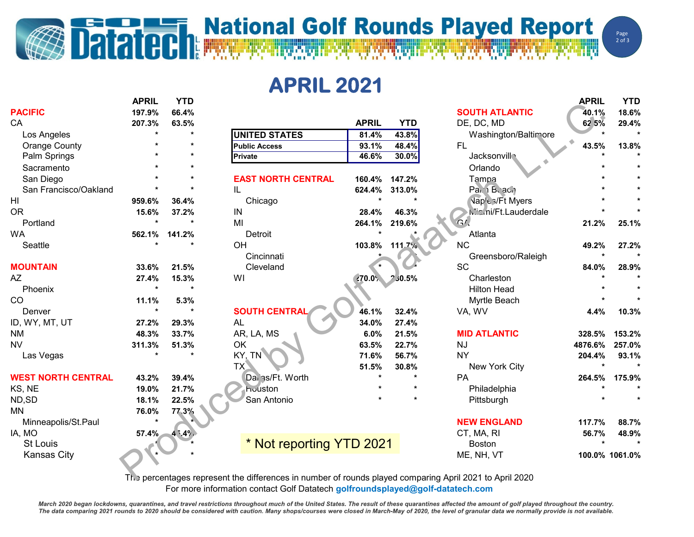## **Datated Report** National Golf Rounds Played Report

**APRIL 2021**

|                           | <b>APRIL</b> | <b>YTD</b> |                                                                                                         |              |               |                           | <b>APRIL</b>   | <b>YTD</b>   |
|---------------------------|--------------|------------|---------------------------------------------------------------------------------------------------------|--------------|---------------|---------------------------|----------------|--------------|
| <b>PACIFIC</b>            | 197.9%       | 66.4%      |                                                                                                         |              |               | <b>SOUTH ATLANTIC</b>     | 40.1%          | 18.6%        |
| CA                        | 207.3%       | 63.5%      |                                                                                                         | <b>APRIL</b> | <b>YTD</b>    | DE, DC, MD                | 62 5%          | 29.4%        |
| Los Angeles               | $\star$      | $\star$    | <b>UNITED STATES</b>                                                                                    | 81.4%        | 43.8%         | Washington/Baltimore      |                | $\mathbf{A}$ |
| <b>Orange County</b>      |              |            | <b>Public Access</b>                                                                                    | 93.1%        | 48.4%         | <b>FL</b>                 | 43.5%          | 13.8%        |
| Palm Springs              |              |            | <b>Private</b>                                                                                          | 46.6%        | 30.0%         | Jacksonvill               |                |              |
| Sacramento                |              |            |                                                                                                         |              |               | Orlando                   |                |              |
| San Diego                 |              |            | <b>EAST NORTH CENTRAL</b>                                                                               | 160.4%       | 147.2%        | Tampa                     |                |              |
| San Francisco/Oakland     |              |            | IL                                                                                                      | 624.4%       | 313.0%        | Pai, i Buach              |                |              |
| HI                        | 959.6%       | 36.4%      | Chicago                                                                                                 |              | $\star$       | <b>Naple s/Ft Myers</b>   |                |              |
| 0R                        | 15.6%        | 37.2%      | IN                                                                                                      | 28.4%        | 46.3%         | <b>Wami/Ft.Lauderdale</b> |                |              |
| Portland                  |              |            | MI                                                                                                      | 264.1%       | 219.6%        | G/L                       | 21.2%          | 25.1%        |
| WA                        | 562.1%       | 141.2%     | Detroit                                                                                                 |              |               | Atlanta                   |                |              |
| Seattle                   |              |            | OH                                                                                                      |              | 103.8% 111.7% | <b>NC</b>                 | 49.2%          | 27.2%        |
|                           |              |            | Cincinnati                                                                                              |              |               | Greensboro/Raleigh        |                |              |
| <b>MOUNTAIN</b>           | 33.6%        | 21.5%      | Cleveland                                                                                               |              |               | SC                        | 84.0%          | 28.9%        |
| AΖ                        | 27.4%        | 15.3%      | WI                                                                                                      | 270.0%       | 2,30.5%       | Charleston                |                |              |
| Phoenix                   | $\star$      |            |                                                                                                         |              |               | <b>Hilton Head</b>        |                |              |
| CO                        | 11.1%        | 5.3%       |                                                                                                         |              |               | Myrtle Beach              |                |              |
| Denver                    | $\star$      | $\bullet$  | <b>SOUTH CENTRAI</b>                                                                                    | 46.1%        | 32.4%         | VA, WV                    | 4.4%           | 10.3%        |
| ID, WY, MT, UT            | 27.2%        | 29.3%      | <b>AL</b>                                                                                               | 34.0%        | 27.4%         |                           |                |              |
| ΝM                        | 48.3%        | 33.7%      | AR, LA, MS                                                                                              | 6.0%         | 21.5%         | <b>MID ATLANTIC</b>       | 328.5%         | 153.2%       |
| NV                        | 311.3%       | 51.3%      | OK                                                                                                      | 63.5%        | 22.7%         | <b>NJ</b>                 | 4876.6%        | 257.0%       |
| Las Vegas                 |              |            | KY, TN                                                                                                  | 71.6%        | 56.7%         | <b>NY</b>                 | 204.4%         | 93.1%        |
|                           |              |            | TX                                                                                                      | 51.5%        | 30.8%         | New York City             |                |              |
| <b>WEST NORTH CENTRAL</b> | 43.2%        | 39.4%      | Dai as/Ft. Worth                                                                                        |              |               | PA                        | 264.5%         | 175.9%       |
| KS, NE                    | 19.0%        | 21.7%      | houston                                                                                                 |              |               | Philadelphia              |                |              |
| ND,SD                     | 18.1%        | 22.5%      | San Antonio                                                                                             |              |               | Pittsburgh                |                |              |
| MΝ                        | 76.0%        | 77.3%      |                                                                                                         |              |               |                           |                |              |
| Minneapolis/St.Paul       | $\star$      |            |                                                                                                         |              |               | <b>NEW ENGLAND</b>        | 117.7%         | 88.7%        |
| IA, MO                    | 57.4%        | 4.549.     |                                                                                                         |              |               | CT, MA, RI                | 56.7%          | 48.9%        |
| <b>St Louis</b>           |              |            | * Not reporting YTD 2021                                                                                |              |               | <b>Boston</b>             |                |              |
| <b>Kansas City</b>        |              |            |                                                                                                         |              |               | ME, NH, VT                | 100.0% 1061.0% |              |
|                           |              |            |                                                                                                         |              |               |                           |                |              |
|                           |              |            | The percentages represent the differences in number of rounds played comparing April 2021 to April 2020 |              |               |                           |                |              |

The percentages represent the differences in number of rounds played comparing April 2021 to April 2020 For more information contact Golf Datatech **golfroundsplayed@golf-datatech.com** 

March 2020 began lockdowns, quarantines, and travel restrictions throughout much of the United States. The result of these quarantines affected the amount of golf played throughout the country. The data comparing 2021 rounds to 2020 should be considered with caution. Many shops/courses were closed in March-May of 2020, the level of granular data we normally provide is not available.

Page  $2$  of  $3$ 

WW